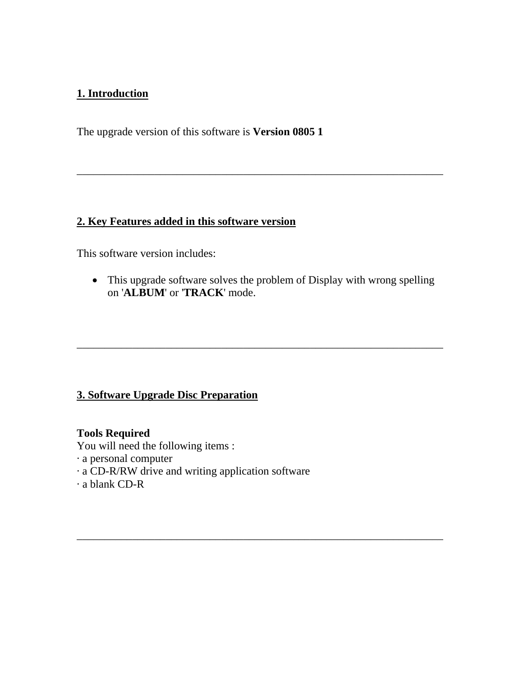# **1. Introduction**

The upgrade version of this software is **Version 0805 1**

### **2. Key Features added in this software version**

This software version includes:

• This upgrade software solves the problem of Display with wrong spelling on '**ALBUM**' or '**TRACK**' mode.

\_\_\_\_\_\_\_\_\_\_\_\_\_\_\_\_\_\_\_\_\_\_\_\_\_\_\_\_\_\_\_\_\_\_\_\_\_\_\_\_\_\_\_\_\_\_\_\_\_\_\_\_\_\_\_\_\_\_\_\_\_\_\_\_\_\_

\_\_\_\_\_\_\_\_\_\_\_\_\_\_\_\_\_\_\_\_\_\_\_\_\_\_\_\_\_\_\_\_\_\_\_\_\_\_\_\_\_\_\_\_\_\_\_\_\_\_\_\_\_\_\_\_\_\_\_\_\_\_\_\_\_\_

\_\_\_\_\_\_\_\_\_\_\_\_\_\_\_\_\_\_\_\_\_\_\_\_\_\_\_\_\_\_\_\_\_\_\_\_\_\_\_\_\_\_\_\_\_\_\_\_\_\_\_\_\_\_\_\_\_\_\_\_\_\_\_\_\_\_

### **3. Software Upgrade Disc Preparation**

#### **Tools Required**

You will need the following items :

- · a personal computer
- · a CD-R/RW drive and writing application software
- · a blank CD-R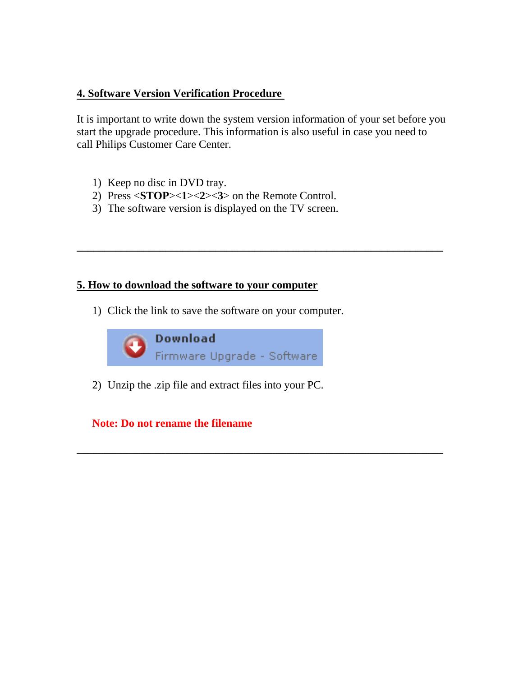#### **4. Software Version Verification Procedure**

It is important to write down the system version information of your set before you start the upgrade procedure. This information is also useful in case you need to call Philips Customer Care Center.

**\_\_\_\_\_\_\_\_\_\_\_\_\_\_\_\_\_\_\_\_\_\_\_\_\_\_\_\_\_\_\_\_\_\_\_\_\_\_\_\_\_\_\_\_\_\_\_\_\_\_\_\_\_\_\_\_\_\_\_\_\_\_\_\_\_\_** 

**\_\_\_\_\_\_\_\_\_\_\_\_\_\_\_\_\_\_\_\_\_\_\_\_\_\_\_\_\_\_\_\_\_\_\_\_\_\_\_\_\_\_\_\_\_\_\_\_\_\_\_\_\_\_\_\_\_\_\_\_\_\_\_\_\_\_** 

- 1) Keep no disc in DVD tray.
- 2) Press <**STOP**><**1**><**2**><**3**> on the Remote Control.
- 3) The software version is displayed on the TV screen.

#### **5. How to download the software to your computer**

1) Click the link to save the software on your computer.



2) Unzip the .zip file and extract files into your PC.

**Note: Do not rename the filename**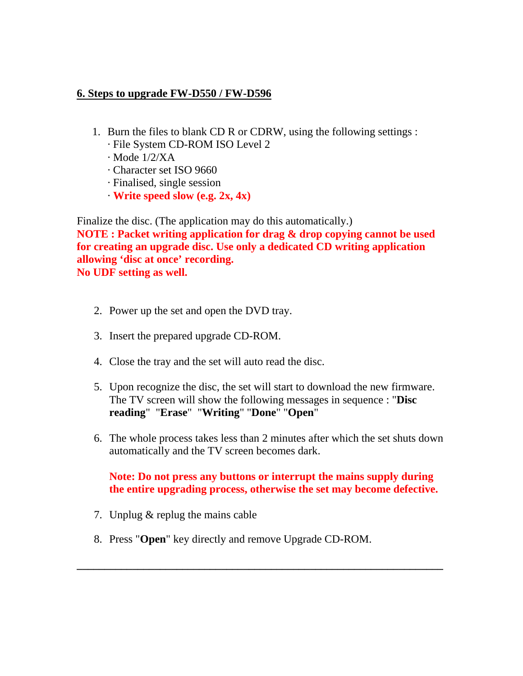#### **6. Steps to upgrade FW-D550 / FW-D596**

- 1. Burn the files to blank CD R or CDRW, using the following settings :
	- · File System CD-ROM ISO Level 2
	- · Mode 1/2/XA
	- · Character set ISO 9660
	- · Finalised, single session
	- · **Write speed slow (e.g. 2x, 4x)**

Finalize the disc. (The application may do this automatically.) **NOTE : Packet writing application for drag & drop copying cannot be used for creating an upgrade disc. Use only a dedicated CD writing application allowing 'disc at once' recording. No UDF setting as well.**

- 2. Power up the set and open the DVD tray.
- 3. Insert the prepared upgrade CD-ROM.
- 4. Close the tray and the set will auto read the disc.
- 5. Upon recognize the disc, the set will start to download the new firmware. The TV screen will show the following messages in sequence : "**Disc reading**" "**Erase**" "**Writing**" "**Done**" "**Open**"
- 6. The whole process takes less than 2 minutes after which the set shuts down automatically and the TV screen becomes dark.

**Note: Do not press any buttons or interrupt the mains supply during the entire upgrading process, otherwise the set may become defective.**

**\_\_\_\_\_\_\_\_\_\_\_\_\_\_\_\_\_\_\_\_\_\_\_\_\_\_\_\_\_\_\_\_\_\_\_\_\_\_\_\_\_\_\_\_\_\_\_\_\_\_\_\_\_\_\_\_\_\_\_\_\_\_\_\_\_\_** 

- 7. Unplug & replug the mains cable
- 8. Press "**Open**" key directly and remove Upgrade CD-ROM.